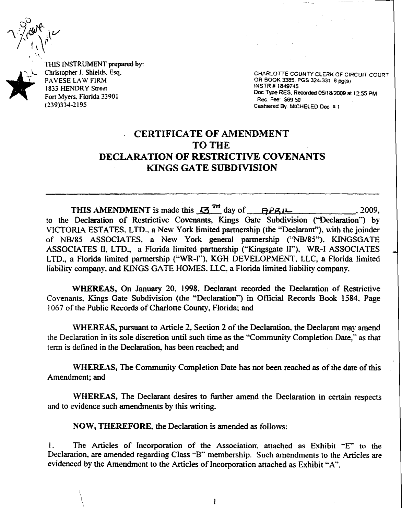THlS INSTRUMENT prepared by: Christopher J. Shields. Esq. PAVESE LAW FIRM 1833 HENDRY Street Fon Myers. Florida 33901 (239)334-2195

 $\setminus$ 

CHARLOTTE COUNTY CLERK OF CIRCUIT COURT OR BOOK 3385, PGS 324-331 8 pg(s) Doc Type RES. Recorded 0511812009 at 12:55 PM Rec. Fee: S69 50 Cashiered By: MICHELED Doc.  $\#$  1.

## CERTIFICATE OF AMENDMENT TO THE DECLARATION OF RESTRICTIVE COVENANTS KINGS GATE SUBDIVISION

THIS AMENDMENT is made this  $2009$ ,  $\overrightarrow{P}$  day of  $\overrightarrow{P}P$  $\overrightarrow{P}P$ to the Declaration of Restrictive Covenants. Kings Gate Subdivision ("Declaration") by VICTORIA ESTATES, LTD., a New York limited partnership (the "Declarant"), with the joinder of NB/85 ASSOCIATES, a New York general partnership ("NB/85"), KINGSGATE ASSOCIATES II. LTD., a Florida limited partnership ("Kingsgate II"). WR-I ASSOCIATES LTD., a Florida limited partnership ("WR-I"). KGH DEVELOPMENT, LLC. a Florida limited liability company, and KINGS GATE HOMES, LLC, a Florida limited liability company.

WHEREAS, On January 20. 1998. Declarant recorded the Declaration of Restrictive Covenants, Kings Gate Subdivision (the "Declaration") in Official Records Book 1584. Page 1067 of the Public Records of Charlotte County, Florida; and

\VHEREAS, pursuant to Article 2. Section 2 of the Declaration,. the Declarant may amend the Declaration in its sole discretion until such time as the "'Community Completion Date." as that term is defined in the Declaration, has been reached; and

'WHEREAS, The Community Completion Date has not been reached as of the date of this Amendment; and

\VHEREAS, The Declarant desires to further amend the Declaration in certain respects and to evidence such amendments by this writing.

NOW, THEREFORE, the Declaration is amended as follows:

I. The Articles of Incorporation of the Association, attached as Exhibit "E" to the Declaration, are amended regarding Class "B" membership. Such amendments to the Articles are evidenced by the Amendment to the Articles of Incorporation attached as Exhibit "A".

 $\mathbf{I}$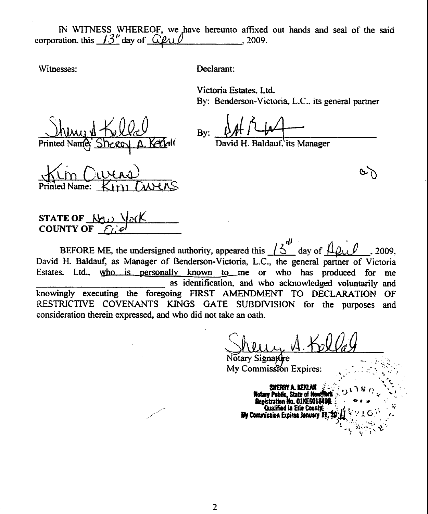IN WITNESS WHEREOF, we have hereunto affixed out hands and seal of the said corporation, this  $13^{\mu}$  day of  $\Omega$  $.2009.$ 

Witnesses:

Declarant:

Victoria Estates, Ltd. By: Benderson-Victoria, L.C., its general partner

Bv:

H. Baldauf, its Manager

Name:

STATE OF N **COUNTY OF** 

BEFORE ME, the undersigned authority, appeared this  $\frac{1}{2}$ day of 2009. David H. Baldauf, as Manager of Benderson-Victoria, L.C., the general partner of Victoria Estates. Ltd., who is personally known to me or who has produced for me as identification, and who acknowledged voluntarily and knowingly executing the foregoing FIRST AMENDMENT TO DECLARATION OF RESTRICTIVE COVENANTS KINGS GATE SUBDIVISION for the purposes and consideration therein expressed, and who did not take an oath.

Notary Signat My Commission Expires:

*<u>Rotary Public</u>*, State of Ne Registration No. 01KE601819 Qualified in Erie County My Commission Expires January